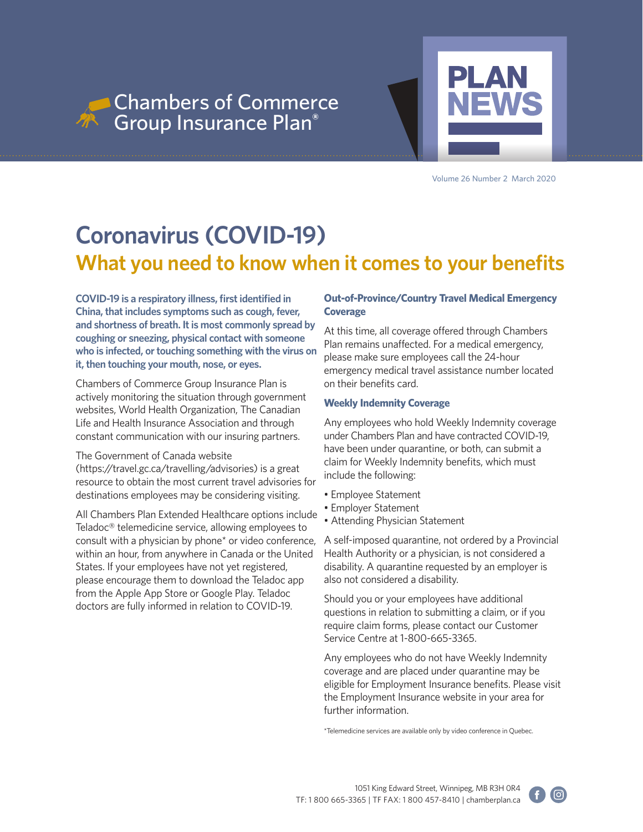



Volume 26 Number 2 March 2020

## **Coronavirus (COVID-19) What you need to know when it comes to your benefits**

**COVID-19 is a respiratory illness, first identified in China, that includes symptoms such as cough, fever, and shortness of breath. It is most commonly spread by coughing or sneezing, physical contact with someone who is infected, or touching something with the virus on it, then touching your mouth, nose, or eyes.** 

Chambers of Commerce Group Insurance Plan is actively monitoring the situation through government websites, World Health Organization, The Canadian Life and Health Insurance Association and through constant communication with our insuring partners.

### The Government of Canada website

(https://travel.gc.ca/travelling/advisories) is a great resource to obtain the most current travel advisories for destinations employees may be considering visiting.

All Chambers Plan Extended Healthcare options include Teladoc® telemedicine service, allowing employees to consult with a physician by phone\* or video conference, within an hour, from anywhere in Canada or the United States. If your employees have not yet registered, please encourage them to download the Teladoc app from the Apple App Store or Google Play. Teladoc doctors are fully informed in relation to COVID-19.

## **Out-of-Province/Country Travel Medical Emergency Coverage**

At this time, all coverage offered through Chambers Plan remains unaffected. For a medical emergency, please make sure employees call the 24-hour emergency medical travel assistance number located on their benefits card.

### **Weekly Indemnity Coverage**

Any employees who hold Weekly Indemnity coverage under Chambers Plan and have contracted COVID-19, have been under quarantine, or both, can submit a claim for Weekly Indemnity benefits, which must include the following:

- Employee Statement
- Employer Statement
- Attending Physician Statement

A self-imposed quarantine, not ordered by a Provincial Health Authority or a physician, is not considered a disability. A quarantine requested by an employer is also not considered a disability.

Should you or your employees have additional questions in relation to submitting a claim, or if you require claim forms, please contact our Customer Service Centre at 1-800-665-3365.

Any employees who do not have Weekly Indemnity coverage and are placed under quarantine may be eligible for Employment Insurance benefits. Please visit the Employment Insurance website in your area for further information.

\*Telemedicine services are available only by video conference in Quebec.